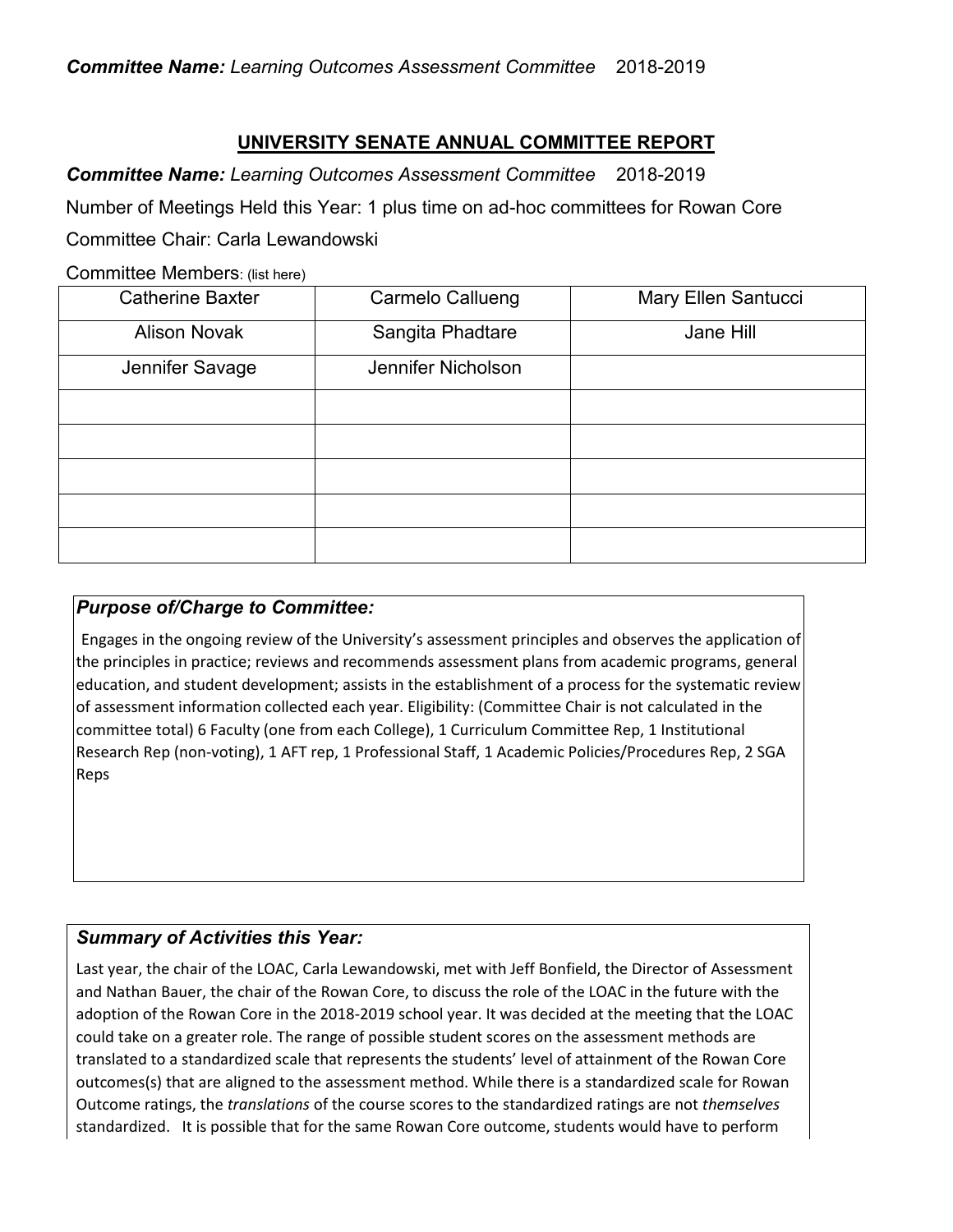# **UNIVERSITY SENATE ANNUAL COMMITTEE REPORT**

*Committee Name: Learning Outcomes Assessment Committee* 2018-2019

Number of Meetings Held this Year: 1 plus time on ad-hoc committees for Rowan Core

Committee Chair: Carla Lewandowski

Committee Members: (list here)

| <b>Catherine Baxter</b> | Carmelo Callueng   | Mary Ellen Santucci |
|-------------------------|--------------------|---------------------|
| <b>Alison Novak</b>     | Sangita Phadtare   | Jane Hill           |
| Jennifer Savage         | Jennifer Nicholson |                     |
|                         |                    |                     |
|                         |                    |                     |
|                         |                    |                     |
|                         |                    |                     |
|                         |                    |                     |

# *Purpose of/Charge to Committee:*

Engages in the ongoing review of the University's assessment principles and observes the application of the principles in practice; reviews and recommends assessment plans from academic programs, general education, and student development; assists in the establishment of a process for the systematic review of assessment information collected each year. Eligibility: (Committee Chair is not calculated in the committee total) 6 Faculty (one from each College), 1 Curriculum Committee Rep, 1 Institutional Research Rep (non-voting), 1 AFT rep, 1 Professional Staff, 1 Academic Policies/Procedures Rep, 2 SGA Reps

# *Summary of Activities this Year:*

Last year, the chair of the LOAC, Carla Lewandowski, met with Jeff Bonfield, the Director of Assessment and Nathan Bauer, the chair of the Rowan Core, to discuss the role of the LOAC in the future with the adoption of the Rowan Core in the 2018-2019 school year. It was decided at the meeting that the LOAC could take on a greater role. The range of possible student scores on the assessment methods are translated to a standardized scale that represents the students' level of attainment of the Rowan Core outcomes(s) that are aligned to the assessment method. While there is a standardized scale for Rowan Outcome ratings, the *translations* of the course scores to the standardized ratings are not *themselves* standardized. It is possible that for the same Rowan Core outcome, students would have to perform